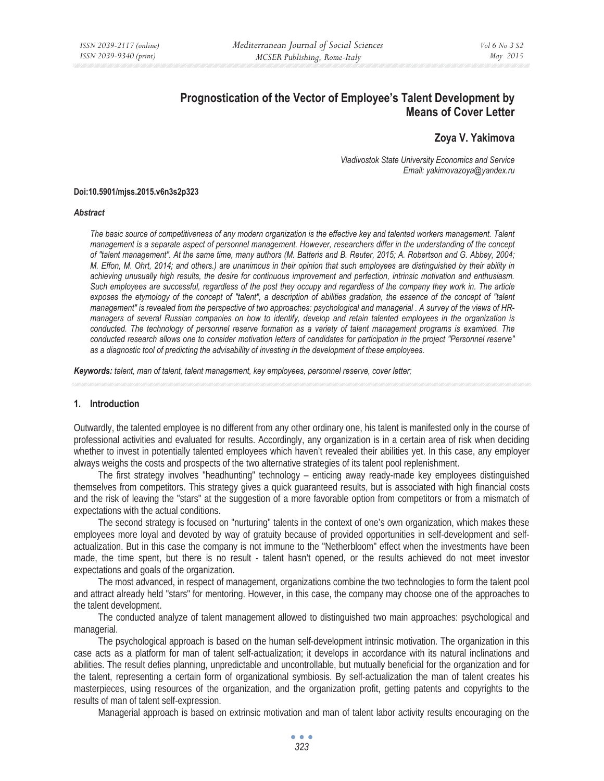# **Prognostication of the Vector of Employee's Talent Development by Means of Cover Letter**

# **Zoya V. Yakimova**

*Vladivostok State University Economics and Service Email: yakimovazoya@yandex.ru* 

#### **Doi:10.5901/mjss.2015.v6n3s2p323**

#### *Abstract*

*The basic source of competitiveness of any modern organization is the effective key and talented workers management. Talent management is a separate aspect of personnel management. However, researchers differ in the understanding of the concept of "talent management". At the same time, many authors (M. Batteris and B. Reuter, 2015; A. Robertson and G. Abbey, 2004; M. Effon, M. Ohrt, 2014; and others.) are unanimous in their opinion that such employees are distinguished by their ability in achieving unusually high results, the desire for continuous improvement and perfection, intrinsic motivation and enthusiasm.*  Such employees are successful, regardless of the post they occupy and regardless of the company they work in. The article exposes the etymology of the concept of "talent", a description of abilities gradation, the essence of the concept of "talent *management" is revealed from the perspective of two approaches: psychological and managerial . A survey of the views of HRmanagers of several Russian companies on how to identify, develop and retain talented employees in the organization is*  conducted. The technology of personnel reserve formation as a variety of talent management programs is examined. The *conducted research allows one to consider motivation letters of candidates for participation in the project "Personnel reserve" as a diagnostic tool of predicting the advisability of investing in the development of these employees.* 

*Keywords: talent, man of talent, talent management, key employees, personnel reserve, cover letter;*

#### **1. Introduction**

Outwardly, the talented employee is no different from any other ordinary one, his talent is manifested only in the course of professional activities and evaluated for results. Accordingly, any organization is in a certain area of risk when deciding whether to invest in potentially talented employees which haven't revealed their abilities yet. In this case, any employer always weighs the costs and prospects of the two alternative strategies of its talent pool replenishment.

The first strategy involves "headhunting" technology – enticing away ready-made key employees distinguished themselves from competitors. This strategy gives a quick guaranteed results, but is associated with high financial costs and the risk of leaving the "stars" at the suggestion of a more favorable option from competitors or from a mismatch of expectations with the actual conditions.

The second strategy is focused on "nurturing" talents in the context of one's own organization, which makes these employees more loyal and devoted by way of gratuity because of provided opportunities in self-development and selfactualization. But in this case the company is not immune to the "Netherbloom" effect when the investments have been made, the time spent, but there is no result - talent hasn't opened, or the results achieved do not meet investor expectations and goals of the organization.

The most advanced, in respect of management, organizations combine the two technologies to form the talent pool and attract already held "stars" for mentoring. However, in this case, the company may choose one of the approaches to the talent development.

The conducted analyze of talent management allowed to distinguished two main approaches: psychological and managerial.

The psychological approach is based on the human self-development intrinsic motivation. The organization in this case acts as a platform for man of talent self-actualization; it develops in accordance with its natural inclinations and abilities. The result defies planning, unpredictable and uncontrollable, but mutually beneficial for the organization and for the talent, representing a certain form of organizational symbiosis. By self-actualization the man of talent creates his masterpieces, using resources of the organization, and the organization profit, getting patents and copyrights to the results of man of talent self-expression.

Managerial approach is based on extrinsic motivation and man of talent labor activity results encouraging on the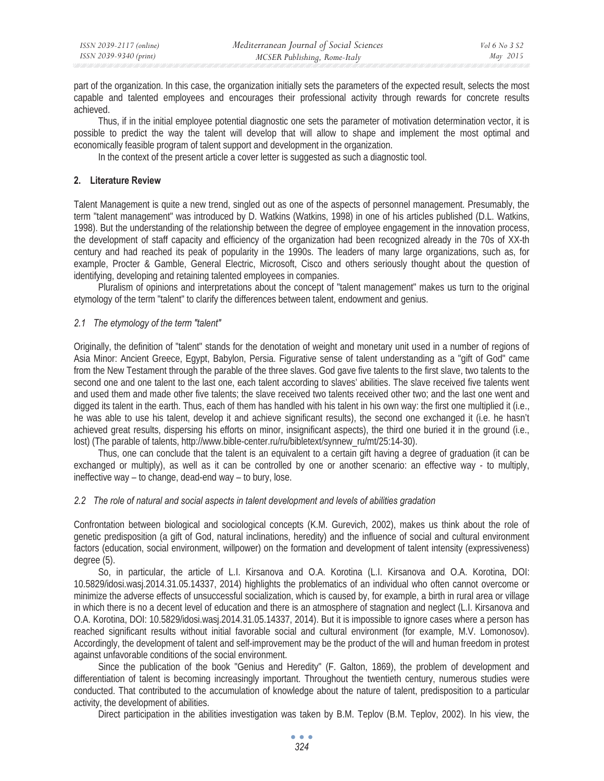part of the organization. In this case, the organization initially sets the parameters of the expected result, selects the most capable and talented employees and encourages their professional activity through rewards for concrete results achieved.

Thus, if in the initial employee potential diagnostic one sets the parameter of motivation determination vector, it is possible to predict the way the talent will develop that will allow to shape and implement the most optimal and economically feasible program of talent support and development in the organization.

In the context of the present article a cover letter is suggested as such a diagnostic tool.

# **2. Literature Review**

Talent Management is quite a new trend, singled out as one of the aspects of personnel management. Presumably, the term "talent management" was introduced by D. Watkins (Watkins, 1998) in one of his articles published (D.L. Watkins, 1998). But the understanding of the relationship between the degree of employee engagement in the innovation process, the development of staff capacity and efficiency of the organization had been recognized already in the 70s of XX-th century and had reached its peak of popularity in the 1990s. The leaders of many large organizations, such as, for example, Procter & Gamble, General Electric, Microsoft, Cisco and others seriously thought about the question of identifying, developing and retaining talented employees in companies.

Pluralism of opinions and interpretations about the concept of "talent management" makes us turn to the original etymology of the term "talent" to clarify the differences between talent, endowment and genius.

# *2.1 The etymology of the term "talent"*

Originally, the definition of "talent" stands for the denotation of weight and monetary unit used in a number of regions of Asia Minor: Ancient Greece, Egypt, Babylon, Persia. Figurative sense of talent understanding as a "gift of God" came from the New Testament through the parable of the three slaves. God gave five talents to the first slave, two talents to the second one and one talent to the last one, each talent according to slaves' abilities. The slave received five talents went and used them and made other five talents; the slave received two talents received other two; and the last one went and digged its talent in the earth. Thus, each of them has handled with his talent in his own way: the first one multiplied it (i.e., he was able to use his talent, develop it and achieve significant results), the second one exchanged it (i.e. he hasn't achieved great results, dispersing his efforts on minor, insignificant aspects), the third one buried it in the ground (i.e., lost) (The parable of talents, http://www.bible-center.ru/ru/bibletext/synnew\_ru/mt/25:14-30).

Thus, one can conclude that the talent is an equivalent to a certain gift having a degree of graduation (it can be exchanged or multiply), as well as it can be controlled by one or another scenario: an effective way - to multiply, ineffective way – to change, dead-end way – to bury, lose.

### *2.2 The role of natural and social aspects in talent development and levels of abilities gradation*

Confrontation between biological and sociological concepts (K.M. Gurevich, 2002), makes us think about the role of genetic predisposition (a gift of God, natural inclinations, heredity) and the influence of social and cultural environment factors (education, social environment, willpower) on the formation and development of talent intensity (expressiveness) degree (5).

So, in particular, the article of L.I. Kirsanova and O.A. Korotina (L.I. Kirsanova and O.A. Korotina, DOI: 10.5829/idosi.wasj.2014.31.05.14337, 2014) highlights the problematics of an individual who often cannot overcome or minimize the adverse effects of unsuccessful socialization, which is caused by, for example, a birth in rural area or village in which there is no a decent level of education and there is an atmosphere of stagnation and neglect (L.I. Kirsanova and O.A. Korotina, DOI: 10.5829/idosi.wasj.2014.31.05.14337, 2014). But it is impossible to ignore cases where a person has reached significant results without initial favorable social and cultural environment (for example, M.V. Lomonosov). Accordingly, the development of talent and self-improvement may be the product of the will and human freedom in protest against unfavorable conditions of the social environment.

Since the publication of the book "Genius and Heredity" (F. Galton, 1869), the problem of development and differentiation of talent is becoming increasingly important. Throughout the twentieth century, numerous studies were conducted. That contributed to the accumulation of knowledge about the nature of talent, predisposition to a particular activity, the development of abilities.

Direct participation in the abilities investigation was taken by B.M. Teplov (B.M. Teplov, 2002). In his view, the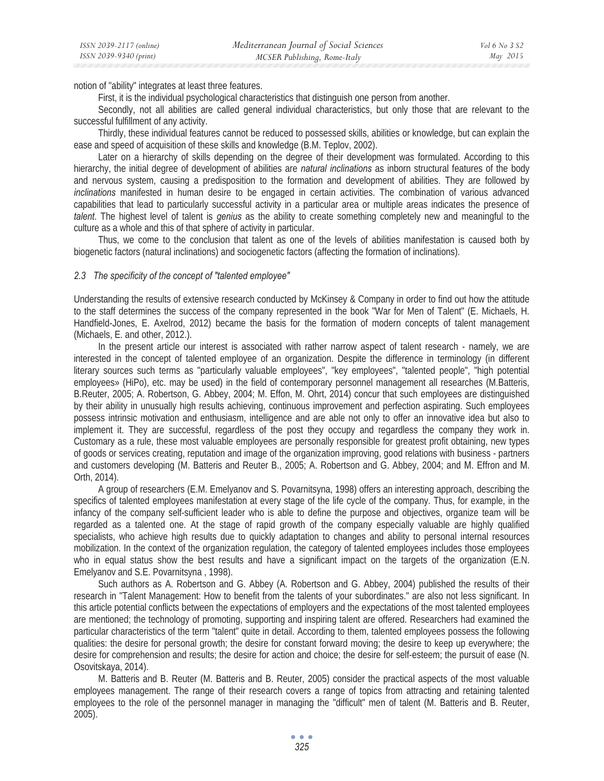notion of "ability" integrates at least three features.

First, it is the individual psychological characteristics that distinguish one person from another.

Secondly, not all abilities are called general individual characteristics, but only those that are relevant to the successful fulfillment of any activity.

Thirdly, these individual features cannot be reduced to possessed skills, abilities or knowledge, but can explain the ease and speed of acquisition of these skills and knowledge (B.M. Teplov, 2002).

Later on a hierarchy of skills depending on the degree of their development was formulated. According to this hierarchy, the initial degree of development of abilities are *natural inclinations* as inborn structural features of the body and nervous system, causing a predisposition to the formation and development of abilities. They are followed by *inclinations* manifested in human desire to be engaged in certain activities. The combination of various advanced capabilities that lead to particularly successful activity in a particular area or multiple areas indicates the presence of *talent*. The highest level of talent is *genius* as the ability to create something completely new and meaningful to the culture as a whole and this of that sphere of activity in particular.

Thus, we come to the conclusion that talent as one of the levels of abilities manifestation is caused both by biogenetic factors (natural inclinations) and sociogenetic factors (affecting the formation of inclinations).

#### *2.3 The specificity of the concept of "talented employee"*

Understanding the results of extensive research conducted by McKinsey & Company in order to find out how the attitude to the staff determines the success of the company represented in the book "War for Men of Talent" (E. Michaels, H. Handfield-Jones, E. Axelrod, 2012) became the basis for the formation of modern concepts of talent management (Michaels, E. and other, 2012.).

In the present article our interest is associated with rather narrow aspect of talent research - namely, we are interested in the concept of talented employee of an organization. Despite the difference in terminology (in different literary sources such terms as "particularly valuable employees", "key employees", "talented people", "high potential employees» (HiPo), etc. may be used) in the field of contemporary personnel management all researches (M.Batteris, B.Reuter, 2005; A. Robertson, G. Abbey, 2004; M. Effon, M. Ohrt, 2014) concur that such employees are distinguished by their ability in unusually high results achieving, continuous improvement and perfection aspirating. Such employees possess intrinsic motivation and enthusiasm, intelligence and are able not only to offer an innovative idea but also to implement it. They are successful, regardless of the post they occupy and regardless the company they work in. Customary as a rule, these most valuable employees are personally responsible for greatest profit obtaining, new types of goods or services creating, reputation and image of the organization improving, good relations with business - partners and customers developing (M. Batteris and Reuter B., 2005; A. Robertson and G. Abbey, 2004; and M. Effron and M. Orth, 2014).

A group of researchers (E.M. Emelyanov and S. Povarnitsyna, 1998) offers an interesting approach, describing the specifics of talented employees manifestation at every stage of the life cycle of the company. Thus, for example, in the infancy of the company self-sufficient leader who is able to define the purpose and objectives, organize team will be regarded as a talented one. At the stage of rapid growth of the company especially valuable are highly qualified specialists, who achieve high results due to quickly adaptation to changes and ability to personal internal resources mobilization. In the context of the organization regulation, the category of talented employees includes those employees who in equal status show the best results and have a significant impact on the targets of the organization (E.N. Emelyanov and S.E. Povarnitsyna , 1998).

Such authors as A. Robertson and G. Abbey (A. Robertson and G. Abbey, 2004) published the results of their research in "Talent Management: How to benefit from the talents of your subordinates." are also not less significant. In this article potential conflicts between the expectations of employers and the expectations of the most talented employees are mentioned; the technology of promoting, supporting and inspiring talent are offered. Researchers had examined the particular characteristics of the term "talent" quite in detail. According to them, talented employees possess the following qualities: the desire for personal growth; the desire for constant forward moving; the desire to keep up everywhere; the desire for comprehension and results; the desire for action and choice; the desire for self-esteem; the pursuit of ease (N. Osovitskaya, 2014).

M. Batteris and B. Reuter (M. Batteris and B. Reuter, 2005) consider the practical aspects of the most valuable employees management. The range of their research covers a range of topics from attracting and retaining talented employees to the role of the personnel manager in managing the "difficult" men of talent (M. Batteris and B. Reuter, 2005).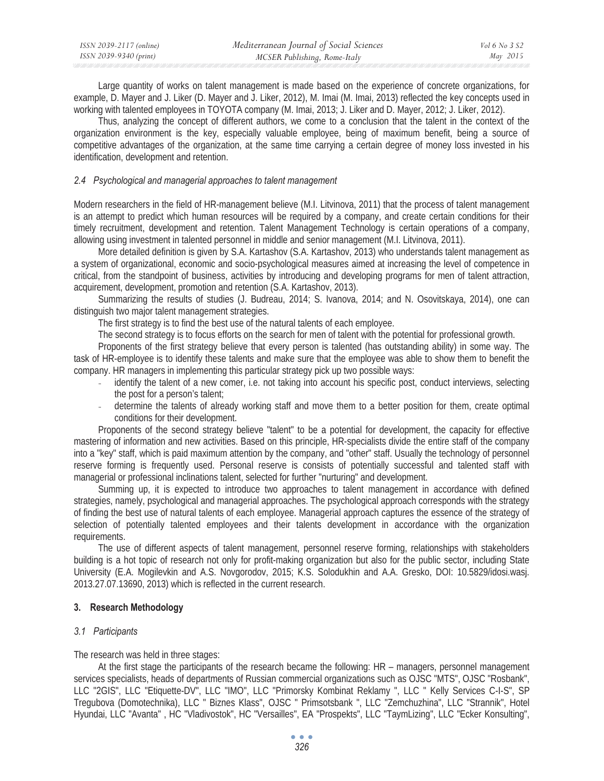| ISSN 2039-2117 (online) | Mediterranean Journal of Social Sciences | Vol 6 No 3 S2 |
|-------------------------|------------------------------------------|---------------|
| ISSN 2039-9340 (print)  | MCSER Publishing, Rome-Italy             | May 2015      |

Large quantity of works on talent management is made based on the experience of concrete organizations, for example, D. Mayer and J. Liker (D. Mayer and J. Liker, 2012), M. Imai (M. Imai, 2013) reflected the key concepts used in working with talented employees in TOYOTA company (M. Imai, 2013; J. Liker and D. Mayer, 2012; J. Liker, 2012).

Thus, analyzing the concept of different authors, we come to a conclusion that the talent in the context of the organization environment is the key, especially valuable employee, being of maximum benefit, being a source of competitive advantages of the organization, at the same time carrying a certain degree of money loss invested in his identification, development and retention.

#### *2.4 Psychological and managerial approaches to talent management*

Modern researchers in the field of HR-management believe (M.I. Litvinova, 2011) that the process of talent management is an attempt to predict which human resources will be required by a company, and create certain conditions for their timely recruitment, development and retention. Talent Management Technology is certain operations of a company, allowing using investment in talented personnel in middle and senior management (M.I. Litvinova, 2011).

More detailed definition is given by S.A. Kartashov (S.A. Kartashov, 2013) who understands talent management as a system of organizational, economic and socio-psychological measures aimed at increasing the level of competence in critical, from the standpoint of business, activities by introducing and developing programs for men of talent attraction, acquirement, development, promotion and retention (S.A. Kartashov, 2013).

Summarizing the results of studies (J. Budreau, 2014; S. Ivanova, 2014; and N. Osovitskaya, 2014), one can distinguish two major talent management strategies.

The first strategy is to find the best use of the natural talents of each employee.

The second strategy is to focus efforts on the search for men of talent with the potential for professional growth.

Proponents of the first strategy believe that every person is talented (has outstanding ability) in some way. The task of HR-employee is to identify these talents and make sure that the employee was able to show them to benefit the company. HR managers in implementing this particular strategy pick up two possible ways:

- identify the talent of a new comer, i.e. not taking into account his specific post, conduct interviews, selecting the post for a person's talent;
- determine the talents of already working staff and move them to a better position for them, create optimal conditions for their development.

Proponents of the second strategy believe "talent" to be a potential for development, the capacity for effective mastering of information and new activities. Based on this principle, HR-specialists divide the entire staff of the company into a "key" staff, which is paid maximum attention by the company, and "other" staff. Usually the technology of personnel reserve forming is frequently used. Personal reserve is consists of potentially successful and talented staff with managerial or professional inclinations talent, selected for further "nurturing" and development.

Summing up, it is expected to introduce two approaches to talent management in accordance with defined strategies, namely, psychological and managerial approaches. The psychological approach corresponds with the strategy of finding the best use of natural talents of each employee. Managerial approach captures the essence of the strategy of selection of potentially talented employees and their talents development in accordance with the organization requirements.

The use of different aspects of talent management, personnel reserve forming, relationships with stakeholders building is a hot topic of research not only for profit-making organization but also for the public sector, including State University (E.A. Mogilevkin and A.S. Novgorodov, 2015; K.S. Solodukhin and A.A. Gresko, DOI: 10.5829/idosi.wasj. 2013.27.07.13690, 2013) which is reflected in the current research.

### **3. Research Methodology**

#### *3.1 Participants*

The research was held in three stages:

At the first stage the participants of the research became the following: HR – managers, personnel management services specialists, heads of departments of Russian commercial organizations such as OJSC "MTS", OJSC "Rosbank", LLC "2GIS", LLC "Etiquette-DV", LLC "IMO", LLC "Primorsky Kombinat Reklamy ", LLC " Kelly Services C-I-S", SP Tregubova (Domotechnika), LLC " Biznes Klass", OJSC " Primsotsbank ", LLC "Zemchuzhina", LLC "Strannik", Hotel Hyundai, LLC "Avanta" , HC "Vladivostok", HC "Versailles", EA "Prospekts", LLC "TaymLizing", LLC "Ecker Konsulting",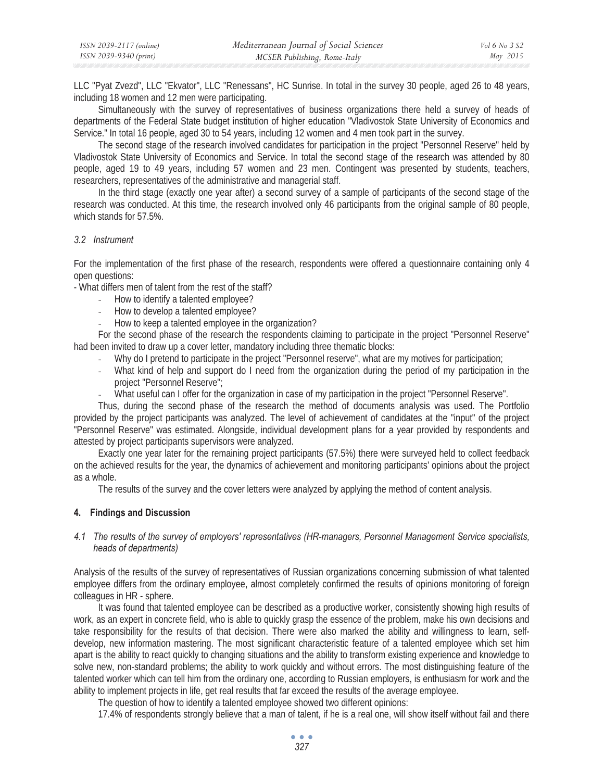LLC "Pyat Zvezd", LLC "Ekvator", LLC "Renessans", HC Sunrise. In total in the survey 30 people, aged 26 to 48 years, including 18 women and 12 men were participating.

Simultaneously with the survey of representatives of business organizations there held a survey of heads of departments of the Federal State budget institution of higher education "Vladivostok State University of Economics and Service." In total 16 people, aged 30 to 54 years, including 12 women and 4 men took part in the survey.

The second stage of the research involved candidates for participation in the project "Personnel Reserve" held by Vladivostok State University of Economics and Service. In total the second stage of the research was attended by 80 people, aged 19 to 49 years, including 57 women and 23 men. Contingent was presented by students, teachers, researchers, representatives of the administrative and managerial staff.

In the third stage (exactly one year after) a second survey of a sample of participants of the second stage of the research was conducted. At this time, the research involved only 46 participants from the original sample of 80 people, which stands for 57.5%.

#### *3.2 Instrument*

For the implementation of the first phase of the research, respondents were offered a questionnaire containing only 4 open questions:

- What differs men of talent from the rest of the staff?

- How to identify a talented employee?
- How to develop a talented employee?
- How to keep a talented employee in the organization?

For the second phase of the research the respondents claiming to participate in the project "Personnel Reserve" had been invited to draw up a cover letter, mandatory including three thematic blocks:

- Why do I pretend to participate in the project "Personnel reserve", what are my motives for participation;
- What kind of help and support do I need from the organization during the period of my participation in the project "Personnel Reserve";
- What useful can I offer for the organization in case of my participation in the project "Personnel Reserve".

Thus, during the second phase of the research the method of documents analysis was used. The Portfolio provided by the project participants was analyzed. The level of achievement of candidates at the "input" of the project "Personnel Reserve" was estimated. Alongside, individual development plans for a year provided by respondents and attested by project participants supervisors were analyzed.

Exactly one year later for the remaining project participants (57.5%) there were surveyed held to collect feedback on the achieved results for the year, the dynamics of achievement and monitoring participants' opinions about the project as a whole.

The results of the survey and the cover letters were analyzed by applying the method of content analysis.

### **4. Findings and Discussion**

### *4.1 The results of the survey of employers' representatives (HR-managers, Personnel Management Service specialists, heads of departments)*

Analysis of the results of the survey of representatives of Russian organizations concerning submission of what talented employee differs from the ordinary employee, almost completely confirmed the results of opinions monitoring of foreign colleagues in HR - sphere.

It was found that talented employee can be described as a productive worker, consistently showing high results of work, as an expert in concrete field, who is able to quickly grasp the essence of the problem, make his own decisions and take responsibility for the results of that decision. There were also marked the ability and willingness to learn, selfdevelop, new information mastering. The most significant characteristic feature of a talented employee which set him apart is the ability to react quickly to changing situations and the ability to transform existing experience and knowledge to solve new, non-standard problems; the ability to work quickly and without errors. The most distinguishing feature of the talented worker which can tell him from the ordinary one, according to Russian employers, is enthusiasm for work and the ability to implement projects in life, get real results that far exceed the results of the average employee.

The question of how to identify a talented employee showed two different opinions:

17.4% of respondents strongly believe that a man of talent, if he is a real one, will show itself without fail and there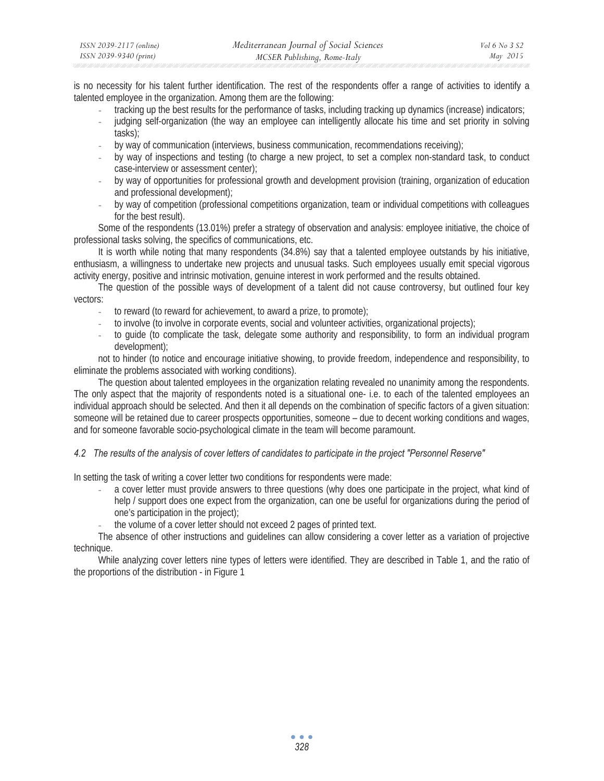| ISSN 2039-2117 (online) | Mediterranean Journal of Social Sciences | <i>Vol</i> 6 No 3 S2 |
|-------------------------|------------------------------------------|----------------------|
| ISSN 2039-9340 (print)  | MCSER Publishing, Rome-Italy             | May 2015             |

is no necessity for his talent further identification. The rest of the respondents offer a range of activities to identify a talented employee in the organization. Among them are the following:

- tracking up the best results for the performance of tasks, including tracking up dynamics (increase) indicators;
- judging self-organization (the way an employee can intelligently allocate his time and set priority in solving tasks);
- by way of communication (interviews, business communication, recommendations receiving);
- by way of inspections and testing (to charge a new project, to set a complex non-standard task, to conduct case-interview or assessment center);
- by way of opportunities for professional growth and development provision (training, organization of education and professional development);
- by way of competition (professional competitions organization, team or individual competitions with colleagues for the best result).

Some of the respondents (13.01%) prefer a strategy of observation and analysis: employee initiative, the choice of professional tasks solving, the specifics of communications, etc.

It is worth while noting that many respondents (34.8%) say that a talented employee outstands by his initiative, enthusiasm, a willingness to undertake new projects and unusual tasks. Such employees usually emit special vigorous activity energy, positive and intrinsic motivation, genuine interest in work performed and the results obtained.

The question of the possible ways of development of a talent did not cause controversy, but outlined four key vectors:

- to reward (to reward for achievement, to award a prize, to promote);
- to involve (to involve in corporate events, social and volunteer activities, organizational projects);
- to guide (to complicate the task, delegate some authority and responsibility, to form an individual program development);

not to hinder (to notice and encourage initiative showing, to provide freedom, independence and responsibility, to eliminate the problems associated with working conditions).

The question about talented employees in the organization relating revealed no unanimity among the respondents. The only aspect that the majority of respondents noted is a situational one- i.e. to each of the talented employees an individual approach should be selected. And then it all depends on the combination of specific factors of a given situation: someone will be retained due to career prospects opportunities, someone – due to decent working conditions and wages, and for someone favorable socio-psychological climate in the team will become paramount.

### *4.2 The results of the analysis of cover letters of candidates to participate in the project "Personnel Reserve"*

In setting the task of writing a cover letter two conditions for respondents were made:

- a cover letter must provide answers to three questions (why does one participate in the project, what kind of help / support does one expect from the organization, can one be useful for organizations during the period of one's participation in the project);
- the volume of a cover letter should not exceed 2 pages of printed text.

The absence of other instructions and guidelines can allow considering a cover letter as a variation of projective technique.

While analyzing cover letters nine types of letters were identified. They are described in Table 1, and the ratio of the proportions of the distribution - in Figure 1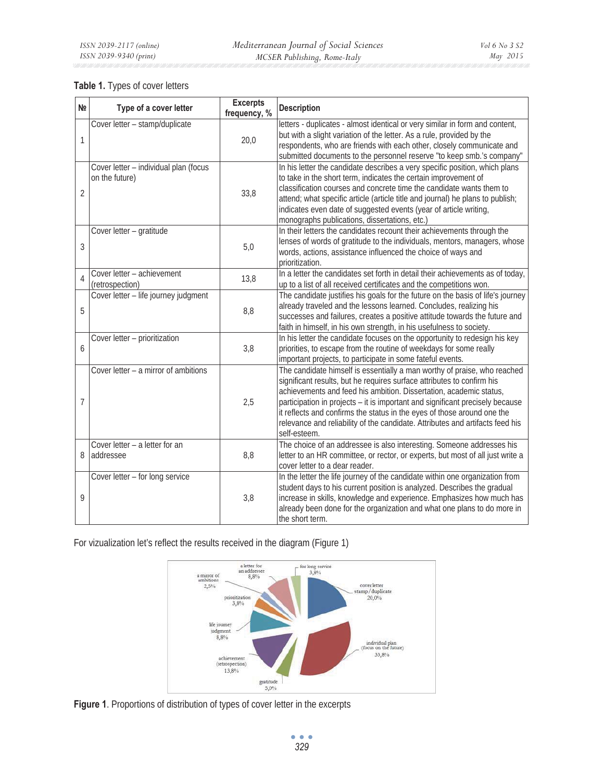# **Table 1.** Types of cover letters

| N <sub>2</sub> | Type of a cover letter                                  | <b>Excerpts</b><br>frequency, % | <b>Description</b>                                                                                                                                                                                                                                                                                                                                                                                                                                                                    |
|----------------|---------------------------------------------------------|---------------------------------|---------------------------------------------------------------------------------------------------------------------------------------------------------------------------------------------------------------------------------------------------------------------------------------------------------------------------------------------------------------------------------------------------------------------------------------------------------------------------------------|
| $\mathbf{1}$   | Cover letter - stamp/duplicate                          | 20,0                            | letters - duplicates - almost identical or very similar in form and content,<br>but with a slight variation of the letter. As a rule, provided by the<br>respondents, who are friends with each other, closely communicate and<br>submitted documents to the personnel reserve "to keep smb.'s company"                                                                                                                                                                               |
| $\overline{2}$ | Cover letter - individual plan (focus<br>on the future) | 33,8                            | In his letter the candidate describes a very specific position, which plans<br>to take in the short term, indicates the certain improvement of<br>classification courses and concrete time the candidate wants them to<br>attend; what specific article (article title and journal) he plans to publish;<br>indicates even date of suggested events (year of article writing,<br>monographs publications, dissertations, etc.)                                                        |
| 3              | Cover letter - gratitude                                | 5,0                             | In their letters the candidates recount their achievements through the<br>lenses of words of gratitude to the individuals, mentors, managers, whose<br>words, actions, assistance influenced the choice of ways and<br>prioritization.                                                                                                                                                                                                                                                |
| $\overline{4}$ | Cover letter - achievement<br>(retrospection)           | 13,8                            | In a letter the candidates set forth in detail their achievements as of today,<br>up to a list of all received certificates and the competitions won.                                                                                                                                                                                                                                                                                                                                 |
| 5              | Cover letter - life journey judgment                    | 8,8                             | The candidate justifies his goals for the future on the basis of life's journey<br>already traveled and the lessons learned. Concludes, realizing his<br>successes and failures, creates a positive attitude towards the future and<br>faith in himself, in his own strength, in his usefulness to society.                                                                                                                                                                           |
| 6              | Cover letter - prioritization                           | 3,8                             | In his letter the candidate focuses on the opportunity to redesign his key<br>priorities, to escape from the routine of weekdays for some really<br>important projects, to participate in some fateful events.                                                                                                                                                                                                                                                                        |
| $\overline{7}$ | Cover letter - a mirror of ambitions                    | 2,5                             | The candidate himself is essentially a man worthy of praise, who reached<br>significant results, but he requires surface attributes to confirm his<br>achievements and feed his ambition. Dissertation, academic status,<br>participation in projects - it is important and significant precisely because<br>it reflects and confirms the status in the eyes of those around one the<br>relevance and reliability of the candidate. Attributes and artifacts feed his<br>self-esteem. |
| 8              | Cover letter - a letter for an<br>addressee             | 8,8                             | The choice of an addressee is also interesting. Someone addresses his<br>letter to an HR committee, or rector, or experts, but most of all just write a<br>cover letter to a dear reader.                                                                                                                                                                                                                                                                                             |
| 9              | Cover letter - for long service                         | 3,8                             | In the letter the life journey of the candidate within one organization from<br>student days to his current position is analyzed. Describes the gradual<br>increase in skills, knowledge and experience. Emphasizes how much has<br>already been done for the organization and what one plans to do more in<br>the short term.                                                                                                                                                        |

For vizualization let's reflect the results received in the diagram (Figure 1)



**Figure 1**. Proportions of distribution of types of cover letter in the excerpts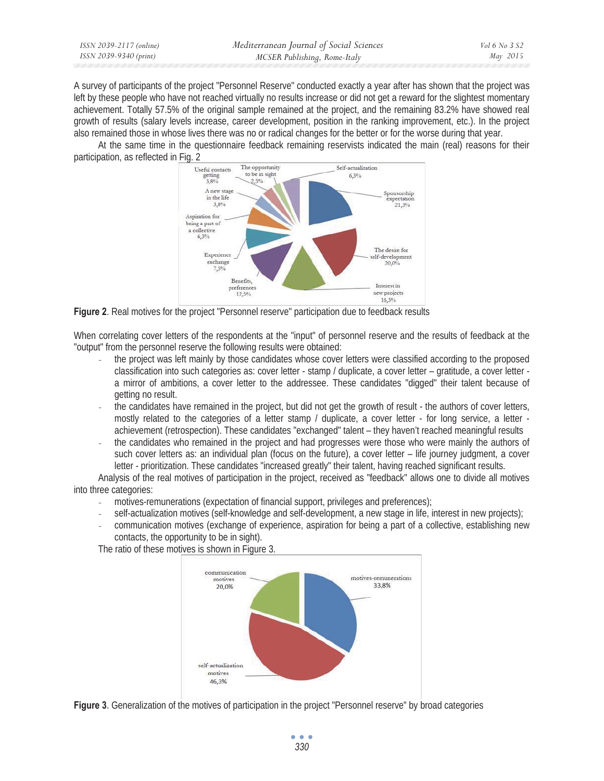| ISSN 2039-2117 (online) | Mediterranean Journal of Social Sciences | <i>Vol</i> 6 No 3 S2 |
|-------------------------|------------------------------------------|----------------------|
| ISSN 2039-9340 (print)  | MCSER Publishing, Rome-Italy             | May 2015             |

A survey of participants of the project "Personnel Reserve" conducted exactly a year after has shown that the project was left by these people who have not reached virtually no results increase or did not get a reward for the slightest momentary achievement. Totally 57.5% of the original sample remained at the project, and the remaining 83.2% have showed real growth of results (salary levels increase, career development, position in the ranking improvement, etc.). In the project also remained those in whose lives there was no or radical changes for the better or for the worse during that year.

At the same time in the questionnaire feedback remaining reservists indicated the main (real) reasons for their participation, as reflected in Fig. 2



**Figure 2**. Real motives for the project "Personnel reserve" participation due to feedback results

When correlating cover letters of the respondents at the "input" of personnel reserve and the results of feedback at the "output" from the personnel reserve the following results were obtained:

- the project was left mainly by those candidates whose cover letters were classified according to the proposed classification into such categories as: cover letter - stamp / duplicate, a cover letter – gratitude, a cover letter a mirror of ambitions, a cover letter to the addressee. These candidates "digged" their talent because of getting no result.
- the candidates have remained in the project, but did not get the growth of result the authors of cover letters, mostly related to the categories of a letter stamp / duplicate, a cover letter - for long service, a letter achievement (retrospection). These candidates "exchanged" talent – they haven't reached meaningful results
- the candidates who remained in the project and had progresses were those who were mainly the authors of such cover letters as: an individual plan (focus on the future), a cover letter – life journey judgment, a cover letter - prioritization. These candidates "increased greatly" their talent, having reached significant results.

Analysis of the real motives of participation in the project, received as "feedback" allows one to divide all motives into three categories:

- motives-remunerations (expectation of financial support, privileges and preferences);
- self-actualization motives (self-knowledge and self-development, a new stage in life, interest in new projects);
- communication motives (exchange of experience, aspiration for being a part of a collective, establishing new contacts, the opportunity to be in sight).

The ratio of these motives is shown in Figure 3.



**Figure 3**. Generalization of the motives of participation in the project "Personnel reserve" by broad categories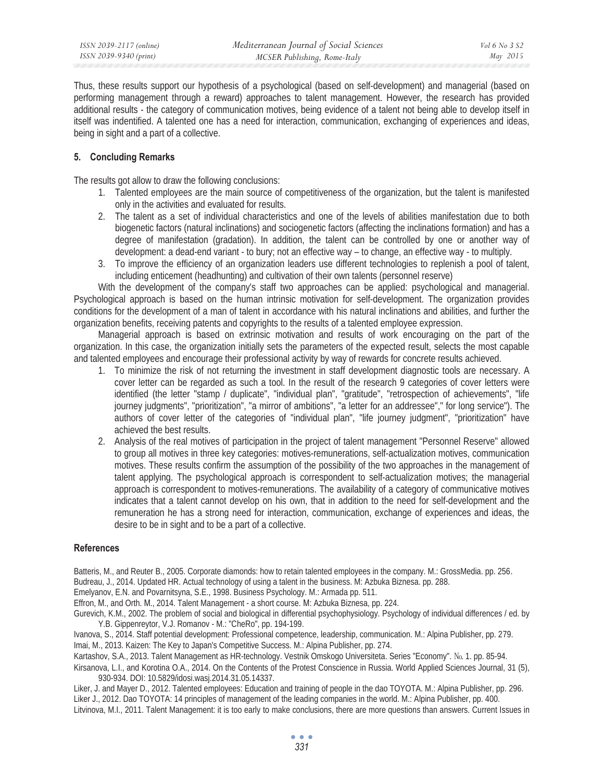Thus, these results support our hypothesis of a psychological (based on self-development) and managerial (based on performing management through a reward) approaches to talent management. However, the research has provided additional results - the category of communication motives, being evidence of a talent not being able to develop itself in itself was indentified. A talented one has a need for interaction, communication, exchanging of experiences and ideas, being in sight and a part of a collective.

# **5. Concluding Remarks**

The results got allow to draw the following conclusions:

- 1. Talented employees are the main source of competitiveness of the organization, but the talent is manifested only in the activities and evaluated for results.
- 2. The talent as a set of individual characteristics and one of the levels of abilities manifestation due to both biogenetic factors (natural inclinations) and sociogenetic factors (affecting the inclinations formation) and has a degree of manifestation (gradation). In addition, the talent can be controlled by one or another way of development: a dead-end variant - to bury; not an effective way – to change, an effective way - to multiply.
- 3. To improve the efficiency of an organization leaders use different technologies to replenish a pool of talent, including enticement (headhunting) and cultivation of their own talents (personnel reserve)

With the development of the company's staff two approaches can be applied: psychological and managerial. Psychological approach is based on the human intrinsic motivation for self-development. The organization provides conditions for the development of a man of talent in accordance with his natural inclinations and abilities, and further the organization benefits, receiving patents and copyrights to the results of a talented employee expression.

Managerial approach is based on extrinsic motivation and results of work encouraging on the part of the organization. In this case, the organization initially sets the parameters of the expected result, selects the most capable and talented employees and encourage their professional activity by way of rewards for concrete results achieved.

- 1. To minimize the risk of not returning the investment in staff development diagnostic tools are necessary. A cover letter can be regarded as such a tool. In the result of the research 9 categories of cover letters were identified (the letter "stamp / duplicate", "individual plan", "gratitude", "retrospection of achievements", "life journey judgments", "prioritization", "a mirror of ambitions", "a letter for an addressee"," for long service"). The authors of cover letter of the categories of "individual plan", "life journey judgment", "prioritization" have achieved the best results.
- 2. Analysis of the real motives of participation in the project of talent management "Personnel Reserve" allowed to group all motives in three key categories: motives-remunerations, self-actualization motives, communication motives. These results confirm the assumption of the possibility of the two approaches in the management of talent applying. The psychological approach is correspondent to self-actualization motives; the managerial approach is correspondent to motives-remunerations. The availability of a category of communicative motives indicates that a talent cannot develop on his own, that in addition to the need for self-development and the remuneration he has a strong need for interaction, communication, exchange of experiences and ideas, the desire to be in sight and to be a part of a collective.

### **References**

Batteris, M., and Reuter B., 2005. Corporate diamonds: how to retain talented employees in the company. M.: GrossMedia. pp. 256. Budreau, J., 2014. Updated HR. Actual technology of using a talent in the business. M: Azbuka Biznesa. pp. 288.

Emelyanov, E.N. and Povarnitsyna, S.E., 1998. Business Psychology. M.: Armada pp. 511.

Effron, M., and Orth. M., 2014. Talent Management - a short course. M: Azbuka Biznesa, pp. 224.

Gurevich, K.M., 2002. The problem of social and biological in differential psychophysiology. Psychology of individual differences / ed. by Y.B. Gippenreytor, V.J. Romanov - M.: "CheRo", pp. 194-199.

Ivanova, S., 2014. Staff potential development: Professional competence, leadership, communication. M.: Alpina Publisher, pp. 279.

Imai, M., 2013. Kaizen: The Key to Japan's Competitive Success. M.: Alpina Publisher, pp. 274.

Kartashov, S.A., 2013. Talent Management as HR-technology. Vestnik Omskogo Universiteta. Series "Economy". Νο. 1. pp. 85-94.

Kirsanova, L.I., and Korotina O.A., 2014. On the Contents of the Protest Conscience in Russia. World Applied Sciences Journal, 31 (5), 930-934. DOI: 10.5829/idosi.wasj.2014.31.05.14337.

Liker, J. and Mayer D., 2012. Talented employees: Education and training of people in the dao TOYOTA. M.: Alpina Publisher, pp. 296. Liker J., 2012. Dao TOYOTA: 14 principles of management of the leading companies in the world. M.: Alpina Publisher, pp. 400. Litvinova, M.I., 2011. Talent Management: it is too early to make conclusions, there are more questions than answers. Current Issues in